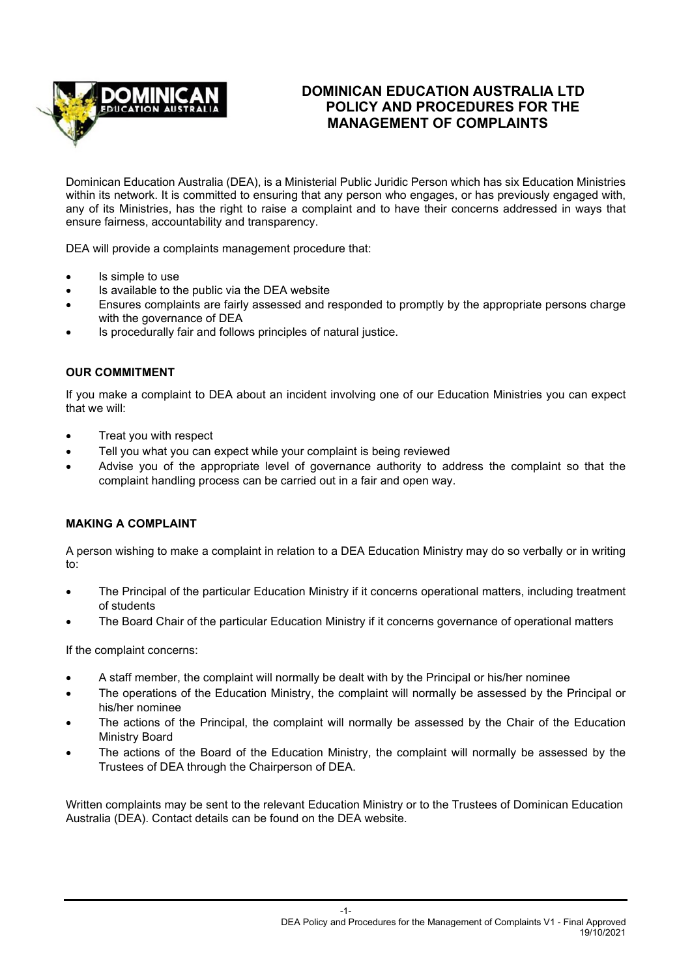

# **DOMINICAN EDUCATION AUSTRALIA LTD POLICY AND PROCEDURES FOR THE MANAGEMENT OF COMPLAINTS**

Dominican Education Australia (DEA), is a Ministerial Public Juridic Person which has six Education Ministries within its network. It is committed to ensuring that any person who engages, or has previously engaged with, any of its Ministries, has the right to raise a complaint and to have their concerns addressed in ways that ensure fairness, accountability and transparency.

DEA will provide a complaints management procedure that:

- Is simple to use
- Is available to the public via the DEA website
- Ensures complaints are fairly assessed and responded to promptly by the appropriate persons charge with the governance of DEA
- Is procedurally fair and follows principles of natural justice.

#### **OUR COMMITMENT**

If you make a complaint to DEA about an incident involving one of our Education Ministries you can expect that we will:

- Treat you with respect
- Tell you what you can expect while your complaint is being reviewed
- Advise you of the appropriate level of governance authority to address the complaint so that the complaint handling process can be carried out in a fair and open way.

#### **MAKING A COMPLAINT**

A person wishing to make a complaint in relation to a DEA Education Ministry may do so verbally or in writing to:

- The Principal of the particular Education Ministry if it concerns operational matters, including treatment of students
- The Board Chair of the particular Education Ministry if it concerns governance of operational matters

If the complaint concerns:

- A staff member, the complaint will normally be dealt with by the Principal or his/her nominee
- The operations of the Education Ministry, the complaint will normally be assessed by the Principal or his/her nominee
- The actions of the Principal, the complaint will normally be assessed by the Chair of the Education Ministry Board
- The actions of the Board of the Education Ministry, the complaint will normally be assessed by the Trustees of DEA through the Chairperson of DEA.

Written complaints may be sent to the relevant Education Ministry or to the Trustees of Dominican Education Australia (DEA). Contact details can be found on the DEA website.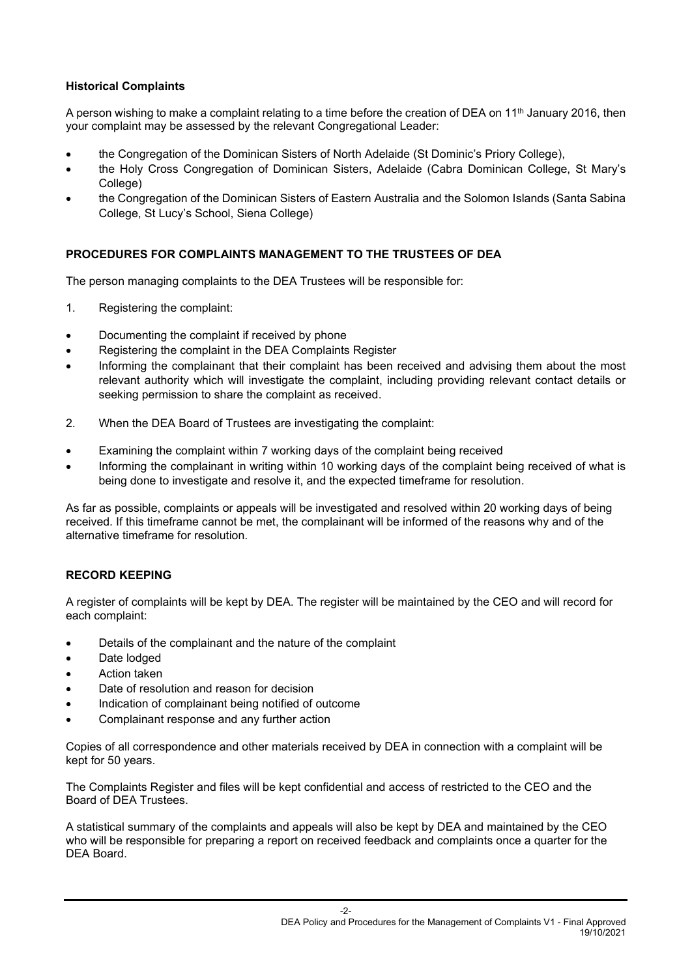## **Historical Complaints**

A person wishing to make a complaint relating to a time before the creation of DEA on 11<sup>th</sup> January 2016, then your complaint may be assessed by the relevant Congregational Leader:

- the Congregation of the Dominican Sisters of North Adelaide (St Dominic's Priory College),
- the Holy Cross Congregation of Dominican Sisters, Adelaide (Cabra Dominican College, St Mary's College)
- the Congregation of the Dominican Sisters of Eastern Australia and the Solomon Islands (Santa Sabina College, St Lucy's School, Siena College)

## **PROCEDURES FOR COMPLAINTS MANAGEMENT TO THE TRUSTEES OF DEA**

The person managing complaints to the DEA Trustees will be responsible for:

- 1. Registering the complaint:
- Documenting the complaint if received by phone
- Registering the complaint in the DEA Complaints Register
- Informing the complainant that their complaint has been received and advising them about the most relevant authority which will investigate the complaint, including providing relevant contact details or seeking permission to share the complaint as received.
- 2. When the DEA Board of Trustees are investigating the complaint:
- Examining the complaint within 7 working days of the complaint being received
- Informing the complainant in writing within 10 working days of the complaint being received of what is being done to investigate and resolve it, and the expected timeframe for resolution.

As far as possible, complaints or appeals will be investigated and resolved within 20 working days of being received. If this timeframe cannot be met, the complainant will be informed of the reasons why and of the alternative timeframe for resolution.

## **RECORD KEEPING**

A register of complaints will be kept by DEA. The register will be maintained by the CEO and will record for each complaint:

- Details of the complainant and the nature of the complaint
- Date lodged
- Action taken
- Date of resolution and reason for decision
- Indication of complainant being notified of outcome
- Complainant response and any further action

Copies of all correspondence and other materials received by DEA in connection with a complaint will be kept for 50 years.

The Complaints Register and files will be kept confidential and access of restricted to the CEO and the Board of DEA Trustees.

A statistical summary of the complaints and appeals will also be kept by DEA and maintained by the CEO who will be responsible for preparing a report on received feedback and complaints once a quarter for the DEA Board.